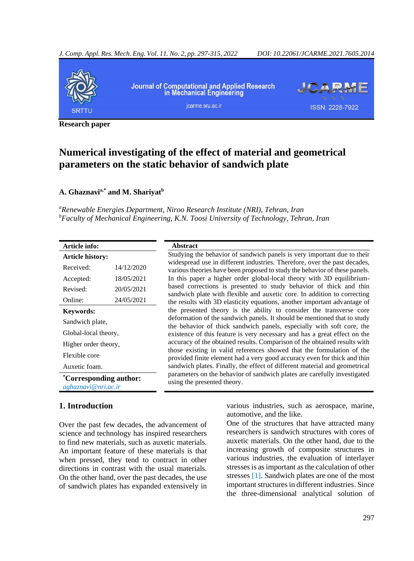

**Research paper**

# **Numerical investigating of the effect of material and geometrical parameters on the static behavior of sandwich plate**

## **A. Ghaznavia,\* and M. Shariyat<sup>b</sup>**

*<sup>a</sup>Renewable Energies Department, Niroo Research Institute (NRI), Tehran, Iran <sup>b</sup>Faculty of Mechanical Engineering, K.N. Toosi University of Technology, Tehran, Iran*

| Article info:                                       |            | <b>Abstract</b>                                                                                                                                         |  |  |  |
|-----------------------------------------------------|------------|---------------------------------------------------------------------------------------------------------------------------------------------------------|--|--|--|
| <b>Article history:</b>                             |            | Studying the behavior of sandwich panels is very important due to their                                                                                 |  |  |  |
| Received:                                           | 14/12/2020 | widespread use in different industries. Therefore, over the past decades,<br>various theories have been proposed to study the behavior of these panels. |  |  |  |
| Accepted:                                           | 18/05/2021 | In this paper a higher order global-local theory with 3D equilibrium-                                                                                   |  |  |  |
| Revised:                                            | 20/05/2021 | based corrections is presented to study behavior of thick and thin                                                                                      |  |  |  |
| Online:                                             | 24/05/2021 | sandwich plate with flexible and auxetic core. In addition to correcting<br>the results with 3D elasticity equations, another important advantage of    |  |  |  |
| <b>Keywords:</b>                                    |            | the presented theory is the ability to consider the transverse core                                                                                     |  |  |  |
| Sandwich plate,                                     |            | deformation of the sandwich panels. It should be mentioned that to study                                                                                |  |  |  |
| Global-local theory,                                |            | the behavior of thick sandwich panels, especially with soft core, the<br>existence of this feature is very necessary and has a great effect on the      |  |  |  |
| Higher order theory,                                |            | accuracy of the obtained results. Comparison of the obtained results with                                                                               |  |  |  |
| Flexible core                                       |            | those existing in valid references showed that the formulation of the<br>provided finite element had a very good accuracy even for thick and thin       |  |  |  |
| Auxetic foam.                                       |            | sandwich plates. Finally, the effect of different material and geometrical                                                                              |  |  |  |
| <i>Corresponding author:</i><br>aghaznavi@nri.ac.ir |            | parameters on the behavior of sandwich plates are carefully investigated<br>using the presented theory.                                                 |  |  |  |

## **1. Introduction**

Over the past few decades, the advancement of science and technology has inspired researchers to find new materials, such as auxetic materials. An important feature of these materials is that when pressed, they tend to contract in other directions in contrast with the usual materials. On the other hand, over the past decades, the use of sandwich plates has expanded extensively in

various industries, such as aerospace, marine, automotive, and the like.

One of the structures that have attracted many researchers is sandwich structures with cores of auxetic materials. On the other hand, due to the increasing growth of composite structures in various industries, the evaluation of interlayer stresses is as important as the calculation of other stresses [\[1\]](#page-15-0). Sandwich plates are one of the most important structures in different industries. Since the three-dimensional analytical solution of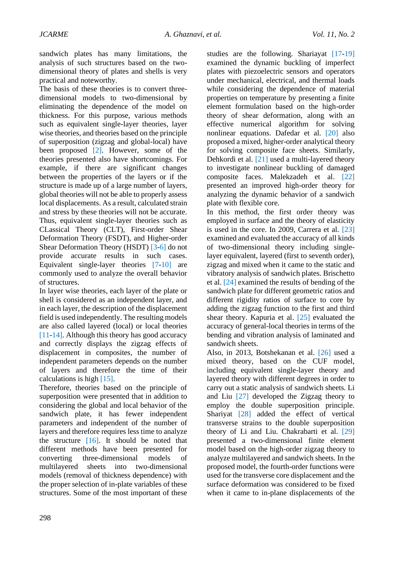sandwich plates has many limitations, the analysis of such structures based on the twodimensional theory of plates and shells is very practical and noteworthy.

The basis of these theories is to convert threedimensional models to two-dimensional by eliminating the dependence of the model on thickness. For this purpose, various methods such as equivalent single-layer theories, layer wise theories, and theories based on the principle of superposition (zigzag and global-local) have been proposed [\[2\]](#page-15-1). However, some of the theories presented also have shortcomings. For example, if there are significant changes between the properties of the layers or if the structure is made up of a large number of layers, global theories will not be able to properly assess local displacements. As a result, calculated strain and stress by these theories will not be accurate. Thus, equivalent single-layer theories such as CLassical Theory (CLT), First-order Shear Deformation Theory (FSDT), and Higher-order Shear Deformation Theory (HSDT) [[3-6\]](#page-15-2) [do](#page-16-0) not provide accurate results in such cases. Equivalent single-layer theories [\[7](#page-16-1)[-10\]](#page-16-2) are commonly used to analyze the overall behavior of structures.

In layer wise theories, each layer of the plate or shell is considered as an independent layer, and in each layer, the description of the displacement field is used independently. The resulting models are also called layered (local) or local theories [\[11-](#page-16-3)[14\].](#page-16-4) Although this theory has good accuracy and correctly displays the zigzag effects of displacement in composites, the number of independent parameters depends on the number of layers and therefore the time of their calculations is high [15].

Therefore, theories bas[ed o](#page-16-5)n the principle of superposition were presented that in addition to considering the global and local behavior of the sandwich plate, it has fewer independent parameters and independent of the number of layers and therefore requires less time to analyze the structure [\[16\]](#page-16-6). It should be noted that different methods have been presented for converting three-dimensional models of multilayered sheets into two-dimensional models (removal of thickness dependence) with the proper selection of in-plate variables of these structures. Some of the most important of these

studies are the following. Shariayat [\[17](#page-16-7)[-19\]](#page-16-8) examined the dynamic buckling of imperfect plates with piezoelectric sensors and operators under mechanical, electrical, and thermal loads while considering the dependence of material properties on temperature by presenting a finite element formulation based on the high-order theory of shear deformation, along with an effective numerical algorithm for solving nonlinear equations. Dafedar et al. [\[20\]](#page-16-9) also proposed a mixed, higher-order analytical theory for solving composite face sheets. Similarly, Dehkordi et al. [\[21\]](#page-16-10) used a multi-layered theory to investigate nonlinear buckling of damaged composite faces. Malekzadeh et al. [\[22\]](#page-16-11) presented an improved high-order theory for analyzing the dynamic behavior of a sandwich plate with flexible core.

In this method, the first order theory was employed in surface and the theory of elasticity is used in the core. In 2009, Carrera et al. [\[23\]](#page-16-12) examined and evaluated the accuracy of all kinds of two-dimensional theory including singlelayer equivalent, layered (first to seventh order), zigzag and mixed when it came to the static and vibratory analysis of sandwich plates. Brischetto et al. [\[24\]](#page-16-13) examined the results of bending of the sandwich plate for different geometric ratios and different rigidity ratios of surface to core by adding the zigzag function to the first and third shear theory. Kapuria et al. [\[25\]](#page-16-14) evaluated the accuracy of general-local theories in terms of the bending and vibration analysis of laminated and sandwich sheets.

Also, in 2013, Botshekanan et al. [\[26\]](#page-17-0) used a mixed theory, based on the CUF model, including equivalent single-layer theory and layered theory with different degrees in order to carry out a static analysis of sandwich sheets. Li and Liu [\[27\]](#page-17-1) developed the Zigzag theory to employ the double superposition principle. Shariyat [\[28\]](#page-17-2) added the effect of vertical transverse strains to the double superposition theory of Li and Liu. Chakrabarti et al. [\[29\]](#page-17-3) presented a two-dimensional finite element model based on the high-order zigzag theory to analyze multilayered and sandwich sheets. In the proposed model, the fourth-order functions were used for the transverse core displacement and the surface deformation was considered to be fixed when it came to in-plane displacements of the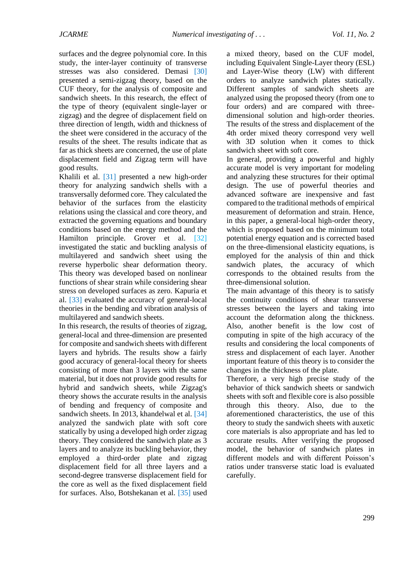surfaces and the degree polynomial core. In this study, the inter-layer continuity of transverse stresses was also considered. Demasi [\[30\]](#page-17-4) presented a semi-zigzag theory, based on the CUF theory, for the analysis of composite and sandwich sheets. In this research, the effect of the type of theory (equivalent single-layer or zigzag) and the degree of displacement field on three direction of length, width and thickness of the sheet were considered in the accuracy of the results of the sheet. The results indicate that as far as thick sheets are concerned, the use of plate displacement field and Zigzag term will have good results.

Khalili et al. [\[31\]](#page-17-5) presented a new high-order theory for analyzing sandwich shells with a transversally deformed core. They calculated the behavior of the surfaces from the elasticity relations using the classical and core theory, and extracted the governing equations and boundary conditions based on the energy method and the Hamilton principle. Grover et al. [\[32\]](#page-17-6) investigated the static and buckling analysis of multilayered and sandwich sheet using the reverse hyperbolic shear deformation theory. This theory was developed based on nonlinear functions of shear strain while considering shear stress on developed surfaces as zero. Kapuria et al. [\[33\]](#page-17-7) evaluated the accuracy of general-local theories in the bending and vibration analysis of multilayered and sandwich sheets.

In this research, the results of theories of zigzag, general-local and three-dimension are presented for composite and sandwich sheets with different layers and hybrids. The results show a fairly good accuracy of general-local theory for sheets consisting of more than 3 layers with the same material, but it does not provide good results for hybrid and sandwich sheets, while Zigzag's theory shows the accurate results in the analysis of bending and frequency of composite and sandwich sheets. In 2013, khandelwal et al. [\[34\]](#page-17-8) analyzed the sandwich plate with soft core statically by using a developed high order zigzag theory. They considered the sandwich plate as 3 layers and to analyze its buckling behavior, they employed a third-order plate and zigzag displacement field for all three layers and a second-degree transverse displacement field for the core as well as the fixed displacement field for surfaces. Also, Botshekanan et al. [\[35\]](#page-17-9) used

a mixed theory, based on the CUF model, including Equivalent Single-Layer theory (ESL) and Layer-Wise theory (LW) with different orders to analyze sandwich plates statically. Different samples of sandwich sheets are analyzed using the proposed theory (from one to four orders) and are compared with threedimensional solution and high-order theories. The results of the stress and displacement of the 4th order mixed theory correspond very well with 3D solution when it comes to thick sandwich sheet with soft core.

In general, providing a powerful and highly accurate model is very important for modeling and analyzing these structures for their optimal design. The use of powerful theories and advanced software are inexpensive and fast compared to the traditional methods of empirical measurement of deformation and strain. Hence, in this paper, a general-local high-order theory, which is proposed based on the minimum total potential energy equation and is corrected based on the three-dimensional elasticity equations, is employed for the analysis of thin and thick sandwich plates, the accuracy of which corresponds to the obtained results from the three-dimensional solution.

The main advantage of this theory is to satisfy the continuity conditions of shear transverse stresses between the layers and taking into account the deformation along the thickness. Also, another benefit is the low cost of computing in spite of the high accuracy of the results and considering the local components of stress and displacement of each layer. Another important feature of this theory is to consider the changes in the thickness of the plate.

Therefore, a very high precise study of the behavior of thick sandwich sheets or sandwich sheets with soft and flexible core is also possible through this theory. Also, due to the aforementioned characteristics, the use of this theory to study the sandwich sheets with auxetic core materials is also appropriate and has led to accurate results. After verifying the proposed model, the behavior of sandwich plates in different models and with different Poisson's ratios under transverse static load is evaluated carefully.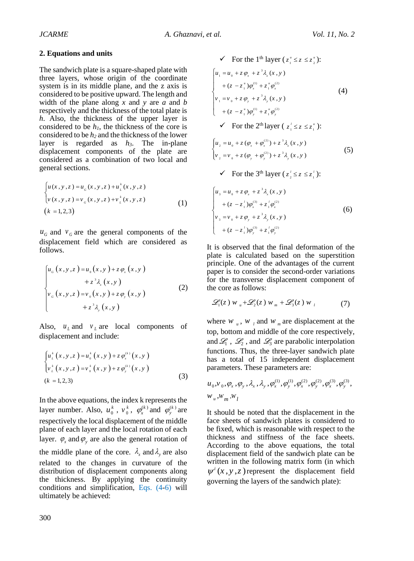#### **2. Equations and units**

The sandwich plate is a square-shaped plate with three layers, whose origin of the coordinate system is in its middle plane, and the z axis is considered to be positive upward. The length and width of the plane along *x* and *y* are *a* and *b* respectively and the thickness of the total plate is *h*. Also, the thickness of the upper layer is considered to be *h1*, the thickness of the core is considered to be *h<sup>2</sup>* and the thickness of the lower layer is regarded as *h3*. The in-plane displacement components of the plate are considered as a combination of two local and general sections.

$$
\begin{cases} u(x, y, z) = u_{G}(x, y, z) + u_{L}^{k}(x, y, z) \\ v(x, y, z) = v_{G}(x, y, z) + v_{L}^{k}(x, y, z) \\ (k = 1, 2, 3) \end{cases}
$$
 (1)

 $u_G$  and  $v_G$  are the general components of the displacement field which are considered as follows.

$$
\begin{cases}\n u_{G}(x, y, z) = u_{0}(x, y) + z \varphi_{x}(x, y) \\
 + z^{3} \lambda_{x}(x, y) \\
 v_{G}(x, y, z) = v_{0}(x, y) + z \varphi_{y}(x, y) \\
 + z^{3} \lambda_{y}(x, y)\n\end{cases}
$$
\n(2)

Also,  $u_{\mu}$  and  $v_{\mu}$  are local components of displacement and include:

$$
\begin{cases}\nu_{L}^{k}\left(x,y,z\right)=\nu_{0}^{k}\left(x,y\right)+z\,\varphi_{x}^{(k)}\left(x,y\right) \\
v_{L}^{k}\left(x,y,z\right)=v_{0}^{k}\left(x,y\right)+z\,\varphi_{y}^{(k)}\left(x,y\right) \\
\left(k=1,2,3\right)\n\end{cases}\n\tag{3}
$$

In the above equations, the index k represents the layer number. Also,  $u_0^k$  $u_0^k$  ,  $v_0^k$  $v_0^k$ ,  $\varphi_x^{(k)}$  and  $\varphi_y^{(k)}$  are respectively the local displacement of the middle plane of each layer and the local rotation of each layer.  $\varphi_x$  and  $\varphi_y$  are also the general rotation of the middle plane of the core.  $\lambda_x$  and  $\lambda_y$  are also related to the changes in curvature of the distribution of displacement components along the thickness. By applying the continuity conditions and simplification, [Eqs.](#page-3-0) (4[-6\)](#page-3-1) will ultimately be achieved:

<span id="page-3-0"></span>V For the 1<sup>th</sup> layer 
$$
(z_1^* \le z \le z_2^*)
$$
:  
\n
$$
\begin{cases}\n u_1 = u_0 + z \varphi_x + z^3 \lambda_x(x, y) \\
 + (z - z_1^*) \varphi_x^{(1)} + z_1^* \varphi_x^{(2)} \\
 v_1 = v_0 + z \varphi_y + z^3 \lambda_y(x, y) \\
 + (z - z_1^*) \varphi_y^{(1)} + z_1^* \varphi_y^{(2)}\n\end{cases}
$$
\nV For the 2<sup>th</sup> layer  $(z_1^{\prime} \le z \le z_1^*)$ :  
\n
$$
\begin{cases}\n u_2 = u_0 + z (\varphi_x + \varphi_x^{(2)}) + z^3 \lambda_x(x, y) \\
 v_2 = v_0 + z (\varphi_y + \varphi_y^{(2)}) + z^3 \lambda_y(x, y)\n\end{cases}
$$
\n(S)  
\nV For the 3<sup>th</sup> layer  $(z_2^{\prime} \le z \le z_1^*)$ :

<span id="page-3-1"></span>
$$
\begin{cases}\n u_{3} = u_{0} + z \varphi_{x} + z^{3} \lambda_{x} (x, y) \\
 + (z - z_{1}^{i}) \varphi_{x}^{(3)} + z_{1}^{i} \varphi_{x}^{(2)} \\
 v_{3} = v_{0} + z \varphi_{y} + z^{3} \lambda_{y} (x, y) \\
 + (z - z_{1}^{i}) \varphi_{y}^{(3)} + z_{1}^{i} \varphi_{y}^{(2)}\n\end{cases}
$$
\n(6)

It is observed that the final deformation of the plate is calculated based on the superstition principle. One of the advantages of the current paper is to consider the second-order variations for the transverse displacement component of the core as follows:

$$
\mathcal{L}_1(z) w_u + \mathcal{L}_2(z) w_w + \mathcal{L}_3(z) w_u \tag{7}
$$

where  $w_u$ ,  $w_l$  and  $w_m$  are displacement at the top, bottom and middle of the core respectively, and  $\mathcal{L}_1$ ,  $\mathcal{L}_2$ , and  $\mathcal{L}_3$  are parabolic interpolation functions. Thus, the three-layer sandwich plate has a total of 15 independent displacement

parameters. These parameters are:  
\n
$$
u_0, v_0, \varphi_x, \varphi_y, \lambda_x, \lambda_y, \varphi_x^{(1)}, \varphi_y^{(1)}, \varphi_x^{(2)}, \varphi_y^{(2)}, \varphi_x^{(3)}, \varphi_y^{(3)},
$$
  
\n $w_u, w_m, w_l$ 

It should be noted that the displacement in the face sheets of sandwich plates is considered to be fixed, which is reasonable with respect to the thickness and stiffness of the face sheets. According to the above equations, the total displacement field of the sandwich plate can be written in the following matrix form (in which  $\psi^{i}(x, y, z)$  represent the displacement field governing the layers of the sandwich plate):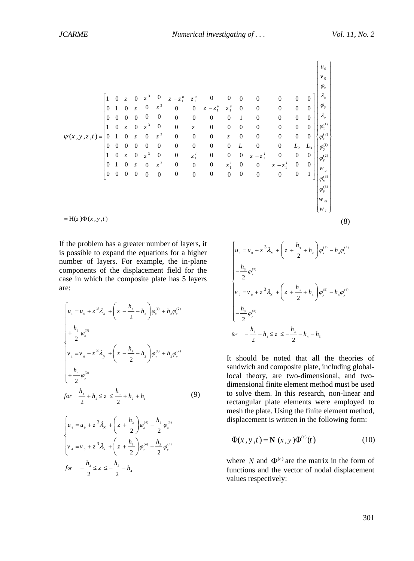$$
\psi(x, y, z, t) = \begin{bmatrix}\n1 & 0 & z & 0 & z^3 & 0 & z - z_1^n & z_1^n & 0 & 0 & 0 & 0 & 0 & 0 & 0 \\
0 & 1 & 0 & z & 0 & z^3 & 0 & 0 & z - z_1^n & z_1^n & 0 & 0 & 0 & 0 & 0 \\
0 & 0 & 0 & 0 & 0 & 0 & 0 & 0 & 0 & 1 & 0 & 0 & 0 & 0 \\
1 & 0 & z & 0 & z^3 & 0 & 0 & z & 0 & 0 & 0 & 0 & 0 & 0 \\
0 & 0 & 0 & 0 & 0 & 0 & 0 & z & 0 & 0 & 0 & 0 & 0 & 0 \\
0 & 0 & 0 & 0 & 0 & 0 & 0 & z & 0 & 0 & 0 & 0 & 0 & 0 \\
0 & 0 & 0 & 0 & 0 & 0 & 0 & 0 & z & 0 & 0 & 0 & 0 & 0 \\
1 & 0 & z & 0 & z^3 & 0 & 0 & z_1^1 & 0 & 0 & 0 & z - z_1^1 & 0 & 0 & 0 \\
0 & 1 & 0 & z & 0 & z^3 & 0 & 0 & z_1^1 & 0 & 0 & 0 & z - z_1^1 & 0 & 0 \\
0 & 0 & 0 & 0 & 0 & 0 & 0 & 0 & 0 & z - z_1^1 & 0 & 0 & 0 \\
0 & 0 & 0 & 0 & 0 & 0 & 0 & 0 & 0 & 0 & 0 & 0 & 0 & 1\n\end{bmatrix}\begin{bmatrix}\nu_0 \\
\psi_1 \\
\phi_2 \\
\phi_3 \\
\phi_4^{(1)} \\
\phi_5 \\
\phi_6^{(2)} \\
\phi_7^{(3)} \\
\phi_8^{(1)} \\
\phi_9^{(2)} \\
\phi_9^{(3)} \\
\phi_9^{(4)} \\
\phi_9^{(5)} \\
\phi_9^{(4)} \\
\phi_9^{(5)} \\
\phi_9^{(6)} \\
\phi_9^{(7)} \\
\phi_9^{(8)} \\
\phi_9^{(9)} \\
\phi_9^{(1)} \\
\phi_9^{(1)} \\
\phi_9^{(1)} \\
\phi_9^{(2)} \\
\phi_9^{(3)} \\
\phi_9^{(4)} \\
\phi_9^{(5)} \\
\phi_9^{(6)} \\
\phi_9^{(7)} \\
\phi_9^{(8)} \\
\phi
$$

If the problem has a greater number of layers, it is possible to expand the equations for a higher number of layers. For example, the in-plane components of the displacement field for the case in which the composite plate has 5 layers are:

<span id="page-4-0"></span>
$$
\begin{cases}\n u_{1} = u_{0} + z^{3} \lambda_{x} + \left(z - \frac{h_{3}}{2} - h_{2}\right) \varphi_{x}^{(1)} + h_{2} \varphi_{x}^{(2)} \\
 + \frac{h_{3}}{2} \varphi_{x}^{(3)} \\
 v_{1} = v_{0} + z^{3} \lambda_{y} + \left(z - \frac{h_{3}}{2} - h_{2}\right) \varphi_{y}^{(1)} + h_{2} \varphi_{y}^{(2)} \\
 + \frac{h_{3}}{2} \varphi_{y}^{(3)} \\
 \text{for } \frac{h_{3}}{2} + h_{2} \le z \le \frac{h_{3}}{2} + h_{2} + h_{1}\n \end{cases} \tag{9}
$$

 $\mathcal{L}_{4} = v_{0} + z^{3} \lambda_{x} + \left( z + \frac{h_{3}}{2} \right) \varphi_{y}^{(4)} - \frac{h_{3}}{2} \varphi_{y}^{(3)}$ 

 $= v_0 + z^3 \lambda_x + \left( z + \frac{h_3}{2} \right) \varphi_y^{(4)} - \frac{h_3}{2} \varphi_y^{(4)}$ 

 $v_4 = v_0 + z^3 \lambda_x + \left( z + \frac{h_3}{2} \right) \varphi_y^{(4)} - \frac{h_4}{2}$ 

 $\begin{cases} 2 \ y_{4} = v_{0} + z^{3} \lambda_{x} + \left( z + \frac{h_{3}}{2} \right) \varphi_{y}^{(4)} - \end{cases}$ 

 $\frac{a_3}{2}$  $\int \varphi_y^{(4)} - \frac{n_3}{2}$ 

 $y_{y}^{(4)} = \frac{3}{2} \phi_{y}^{(4)}$ 

 $\varphi_{y}^{(4)} - \frac{h_{3}}{2} \varphi_{y}^{(3)}$ 

 $\int_{0}^{R}$  5  $\int_{0}^{R}$  5  $\int_{0}^{R}$  5  $\int_{0}^{R}$  5  $\int_{0}^{R}$  5  $\int_{0}^{R}$  7  $\int_{0}^{R}$  7  $\int_{0}^{R}$  7  $\int_{0}^{R}$  7  $\int_{0}^{R}$  7  $\int_{0}^{R}$  7  $\int_{0}^{R}$  7  $\int_{0}^{R}$  7  $\int_{0}^{R}$  7  $\int_{0}^{R}$  7  $\int_{0}^{R}$  7  $\int_{0}^{R}$  7

*x*

 $\lambda$ .

3

$$
\begin{cases}\n u_s = u_0 + z^3 \lambda_x + \left( z + \frac{h_s}{2} + h_2 \right) \varphi_s^{(5)} - h_4 \varphi_s^{(4)} \\
 - \frac{h_s}{2} \varphi_s^{(3)} \\
 v_s = v_0 + z^3 \lambda_x + \left( z + \frac{h_s}{2} + h_4 \right) \varphi_s^{(5)} - h_4 \varphi_s^{(4)} \\
 - \frac{h_s}{2} \varphi_s^{(3)} \\
 \text{for } -\frac{h_s}{2} - h_4 \le z \le -\frac{h_s}{2} - h_4 - h_s\n\end{cases}
$$

It should be noted that all the theories of sandwich and composite plate, including globallocal theory, are two-dimensional, and twodimensional finite element method must be used to solve them. In this research, non-linear and rectangular plate elements were employed to mesh the plate. Using the finite element method, displacement is written in the following form:

<span id="page-4-1"></span>
$$
\Phi(x, y, t) = \mathbf{N}(x, y)\Phi^{(e)}(t)
$$
\n(10)

where 
$$
N
$$
 and  $\Phi^{(e)}$  are the matrix in the form of functions and the vector of nodal displacement values respectively: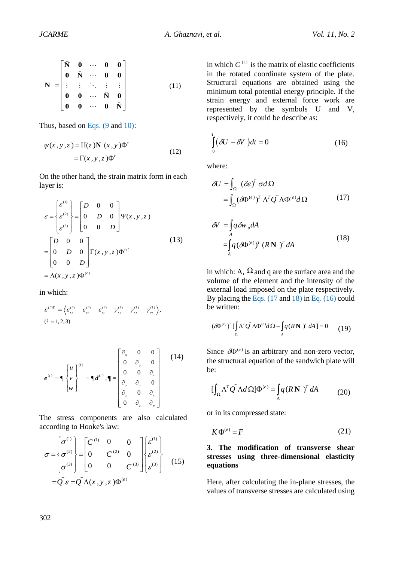$$
\mathbf{N} = \begin{bmatrix} \hat{\mathbf{N}} & \mathbf{0} & \cdots & \mathbf{0} & \mathbf{0} \\ \mathbf{0} & \hat{\mathbf{N}} & \cdots & \mathbf{0} & \mathbf{0} \\ \vdots & \vdots & \ddots & \vdots & \vdots \\ \mathbf{0} & \mathbf{0} & \cdots & \hat{\mathbf{N}} & \mathbf{0} \\ \mathbf{0} & \mathbf{0} & \cdots & \mathbf{0} & \hat{\mathbf{N}} \end{bmatrix}
$$
(11)

Thus, based on [Eqs.](#page-4-0) (9 and [10\):](#page-4-1)

$$
\psi(x, y, z) = H(z) \mathbf{N}(x, y) \Phi^{\epsilon}
$$
  
=  $\Gamma(x, y, z) \Phi^{\epsilon}$  (12)

On the other hand, the strain matrix form in each layer is:

$$
\mathbf{N} = \begin{bmatrix} \hat{\mathbf{N}} & \mathbf{0} & \cdots & \mathbf{0} & \mathbf{0} \\ \mathbf{0} & \hat{\mathbf{N}} & \cdots & \mathbf{0} & \mathbf{0} \\ \vdots & \vdots & \ddots & \vdots & \vdots \\ \mathbf{0} & \mathbf{0} & \cdots & \hat{\mathbf{N}} & \mathbf{0} \end{bmatrix}
$$
\nThus, based on Eqs. (9 and 10):  
\n
$$
\psi(x, y, z) = \mathbf{H}(z) \mathbf{N} (x, y) \Phi^e
$$
\n
$$
= \Gamma(x, y, z) \Phi^e
$$
\nOn the other hand, the strain matrix form in each layer is:  
\n
$$
\varepsilon = \begin{cases} \varepsilon^{(0)} \\ \varepsilon^{(2)} \\ \varepsilon^{(3)} \end{cases} = \begin{bmatrix} D & 0 & 0 \\ 0 & D & 0 \\ 0 & 0 & D \end{bmatrix} \Psi(x, y, z)
$$
\n
$$
= \begin{bmatrix} D & 0 & 0 \\ 0 & D & 0 \\ 0 & 0 & D \end{bmatrix} \Gamma(x, y, z) \Phi^{(e)}
$$
\nin which:  
\n
$$
\varepsilon^{(u)} = \begin{cases} \varepsilon^{(u)} \\ \varepsilon^{(u)} \end{cases} \varepsilon^{(u)} \varepsilon^{(u)} \\ \varepsilon^{(u)} \varepsilon^{(u)} \varepsilon^{(u)} \varepsilon^{(u)} \\ \varepsilon^{(u)} \varepsilon^{(u)} \varepsilon^{(u)} \varepsilon^{(u)} \varepsilon^{(u)} \varepsilon^{(u)} \varepsilon^{(u)} \varepsilon^{(u)} \varepsilon^{(u)} \varepsilon^{(u)} \varepsilon^{(u)} \varepsilon^{(u)} \varepsilon^{(u)} \varepsilon^{(u)} \varepsilon^{(u)} \varepsilon^{(u)} \varepsilon^{(u)} \varepsilon^{(u)} \varepsilon^{(u)} \varepsilon^{(u)} \varepsilon^{(u)} \varepsilon^{(u)} \varepsilon^{(u)} \varepsilon^{(u)} \varepsilon^{(u)} \varepsilon^{(u)} \varepsilon^{(u)} \varepsilon^{(u)} \varepsilon^{(u)} \varepsilon^{(u)} \varepsilon^{(u)} \varepsilon^{(u)} \varepsilon^{(u)} \varepsilon^{(
$$

in which:

$$
\varepsilon^{(i)T} = \Big\langle \varepsilon_{xx}^{(i)} - \varepsilon_{yy}^{(i)} - \varepsilon_{zz}^{(i)} - \gamma_{xy}^{(i)} - \gamma_{xz}^{(i)} - \gamma_{yz}^{(i)} \Big\rangle,
$$
  
(*i* = 1, 2, 3)

$$
e^{(i)} = \P\begin{bmatrix} u \\ v \\ w \end{bmatrix}^{(i)} = \P d^{(i)}, \P = \begin{bmatrix} \partial_x & 0 & 0 \\ 0 & \partial_y & 0 \\ 0 & 0 & \partial_z \\ \partial_y & \partial_x & 0 \\ \partial_z & 0 & \partial_x \\ 0 & \partial_z & \partial_y \end{bmatrix}
$$
(14)

The stress components are also calculated according to Hooke's law:

$$
\sigma = \begin{cases}\n\sigma^{(1)} \\
\sigma^{(2)}\n\end{cases} = \begin{bmatrix}\nC^{(1)} & 0 & 0 \\
0 & C^{(2)} & 0 \\
0 & 0 & C^{(3)}\n\end{bmatrix} \begin{bmatrix}\n\varepsilon^{(1)} \\
\varepsilon^{(2)}\n\end{bmatrix}
$$
\n
$$
= Q \varepsilon = Q \Lambda(x, y, z) \Phi^{(e)}
$$
\n(15)

in which  $C^{(i)}$  is the matrix of elastic coefficients in the rotated coordinate system of the plate. Structural equations are obtained using the minimum total potential energy principle. If the strain energy and external force work are represented by the symbols U and V, respectively, it could be describe as:

$$
\int_{0}^{T} \left( \delta U - \delta V \right) dt = 0 \tag{16}
$$

where:

<span id="page-5-0"></span>
$$
\delta U = \int_{\Omega} (\delta \varepsilon)^{T} \sigma d\Omega
$$
  
= 
$$
\int_{\Omega} (\delta \Phi^{(e)})^{T} \Lambda^{T} Q \Lambda \Phi^{(e)} d\Omega
$$
 (17)

<span id="page-5-1"></span>
$$
\delta V = \int_{A} q \delta w_u dA
$$
  
= 
$$
\int_{A} q (\delta \Phi^{(e)})^T (R \mathbf{N})^T dA
$$
 (18)

in which: A,  $\Omega$  and q are the surface area and the volume of the element and the intensity of the external load imposed on the plate respectively. By placing the [Eqs.](#page-5-0) (17 and [18\)](#page-5-1) in Eq. [\(16\)](#page-5-0) could be written:

$$
(\delta \Phi^{(e)})^T \left[ \int_{\Omega} \Lambda^T Q \Lambda \Phi^{(e)} d\Omega - \int_{A} q (R \mathbf{N})^T dA \right] = 0 \qquad (19)
$$

Since  $\delta \Phi^{(e)}$  is an arbitrary and non-zero vector, the structural equation of the sandwich plate will be:

$$
\left[\int_{\Omega} \Lambda^T Q \right] \Lambda d\Omega \right] \Phi^{(e)} = \int_{A} q (R \mathbf{N})^T dA \tag{20}
$$

or in its compressed state:

$$
K\Phi^{(e)} = F \tag{21}
$$

## **3. The modification of transverse shear stresses using three-dimensional elasticity equations**

Here, after calculating the in-plane stresses, the values of transverse stresses are calculated using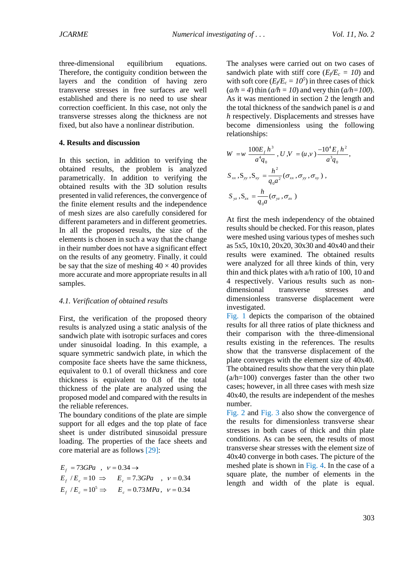three-dimensional equilibrium equations. Therefore, the contiguity condition between the layers and the condition of having zero transverse stresses in free surfaces are well established and there is no need to use shear correction coefficient. In this case, not only the transverse stresses along the thickness are not fixed, but also have a nonlinear distribution.

### **4. Results and discussion**

In this section, in addition to verifying the obtained results, the problem is analyzed parametrically. In addition to verifying the obtained results with the 3D solution results presented in valid references, the convergence of the finite element results and the independence of mesh sizes are also carefully considered for different parameters and in different geometries. In all the proposed results, the size of the elements is chosen in such a way that the change in their number does not have a significant effect on the results of any geometry. Finally, it could be say that the size of meshing  $40 \times 40$  provides more accurate and more appropriate results in all samples.

#### *4.1. Verification of obtained results*

First, the verification of the proposed theory results is analyzed using a static analysis of the sandwich plate with isotropic surfaces and cores under sinusoidal loading. In this example, a square symmetric sandwich plate, in which the composite face sheets have the same thickness, equivalent to 0.1 of overall thickness and core thickness is equivalent to 0.8 of the total thickness of the plate are analyzed using the proposed model and compared with the results in the reliable references.

The boundary conditions of the plate are simple support for all edges and the top plate of face sheet is under distributed sinusoidal pressure loading. The properties of the face sheets and core material are as follows [\[29\]](#page-17-3):

$$
E_f = 73GPa
$$
,  $v = 0.34 \rightarrow$   
\n $E_f / E_c = 10 \Rightarrow E_c = 7.3GPa$ ,  $v = 0.34$   
\n $E_f / E_c = 10^5 \Rightarrow E_c = 0.73MPa$ ,  $v = 0.34$ 

The analyses were carried out on two cases of sandwich plate with stiff core ( $E_f/E_c = 10$ ) and with soft core ( $E_f/E_c = 10^5$ ) in three cases of thick  $(a/h = 4)$  thin  $(a/h = 10)$  and very thin  $(a/h=100)$ . As it was mentioned in section 2 the length and the total thickness of the sandwich panel is *a* and *h* respectively. Displacements and stresses have become dimensionless using the following relationships:

$$
W = w \frac{100E_f h^3}{a^4 q_0}, U, V = (u, v) \frac{-10^4 E_f h^2}{a^3 q_0},
$$
  
\n
$$
S_{xx}, S_{yy}, S_{xy} = \frac{h^2}{q_0 a^2} (\sigma_{xx}, \sigma_{yy}, \sigma_{xy}),
$$
  
\n
$$
S_{yz}, S_{zx} = \frac{h}{q_0 a} (\sigma_{yz}, \sigma_{zx})
$$

At first the mesh independency of the obtained results should be checked. For this reason, plates were meshed using various types of meshes such as 5x5, 10x10, 20x20, 30x30 and 40x40 and their results were examined. The obtained results were analyzed for all three kinds of thin, very thin and thick plates with a/h ratio of 100, 10 and 4 respectively. Various results such as nondimensional transverse stresses and dimensionless transverse displacement were investigated.

[Fig. 1](#page-7-0) depicts the comparison of the obtained results for all three ratios of plate thickness and their comparison with the three-dimensional results existing in the references. The results show that the transverse displacement of the plate converges with the element size of 40x40. The obtained results show that the very thin plate (a/h=100) converges faster than the other two cases; however, in all three cases with mesh size 40x40, the results are independent of the meshes number.

[Fig. 2](#page-7-1) and [Fig.](#page-7-2) 3 also show the convergence of the results for dimensionless transverse shear stresses in both cases of thick and thin plate conditions. As can be seen, the results of most transverse shear stresses with the element size of 40x40 converge in both cases. The picture of the meshed plate is shown in [Fig. 4.](#page-8-0) In the case of a square plate, the number of elements in the length and width of the plate is equal.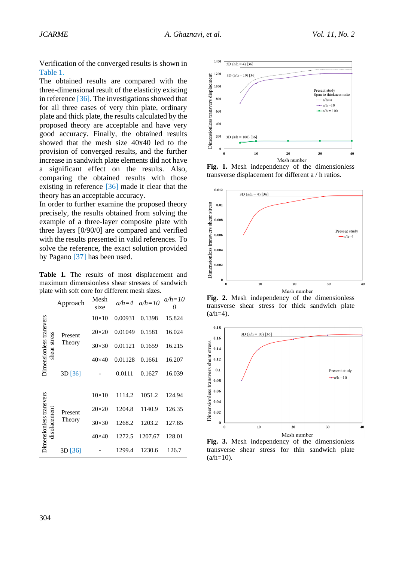Verification of the converged results is shown in [Table 1.](#page-7-3)

The obtained results are compared with the three-dimensional result of the elasticity existing in reference [\[36\]](#page-17-10). The investigations showed that for all three cases of very thin plate, ordinary plate and thick plate, the results calculated by the proposed theory are acceptable and have very good accuracy. Finally, the obtained results showed that the mesh size 40x40 led to the provision of converged results, and the further increase in sandwich plate elements did not have a significant effect on the results. Also, comparing the obtained results with those existing in reference [\[36\]](#page-17-10) made it clear that the theory has an acceptable accuracy.

In order to further examine the proposed theory precisely, the results obtained from solving the example of a three-layer composite plate with three layers [0/90/0] are compared and verified with the results presented in valid references. To solve the reference, the exact solution provided by Pagano [\[37\]](#page-17-11) has been used.

<span id="page-7-3"></span>**Table 1***.* The results of most displacement and maximum dimensionless shear stresses of sandwich plate with soft core for different mesh sizes*.*

|                                         | Approach  | Mesh<br>size | $a/h=4$ | $a/h=10$ | $a/h=10$ |
|-----------------------------------------|-----------|--------------|---------|----------|----------|
|                                         |           | $10\times10$ | 0.00931 | 0.1398   | 15.824   |
|                                         | Present   | $20\times20$ | 0.01049 | 0.1581   | 16.024   |
| Dimensionless transvers<br>shear stress | Theory    | $30\times30$ | 0.01121 | 0.1659   | 16.215   |
|                                         |           | $40\times40$ | 0.01128 | 0.1661   | 16.207   |
|                                         | $3D$ [36] |              | 0.0111  | 0.1627   | 16.039   |
|                                         |           |              |         |          |          |
|                                         |           | $10\times10$ | 1114.2  | 1051.2   | 124.94   |
|                                         | Present   | $20\times20$ | 1204.8  | 1140.9   | 126.35   |
| Dimensionless transvers<br>displacement | Theory    | $30\times30$ | 1268.2  | 1203.2   | 127.85   |
|                                         |           | $40\times40$ | 1272.5  | 1207.67  | 128.01   |
|                                         | $3D$ [36] |              | 1299.4  | 1230.6   | 126.7    |



<span id="page-7-0"></span>**Fig. 1.** Mesh independency of the dimensionless transverse displacement for different a / h ratios.



<span id="page-7-1"></span>**Fig. 2.** Mesh independency of the dimensionless transverse shear stress for thick sandwich plate  $(a/h=4)$ .



<span id="page-7-2"></span>**Fig. 3.** Mesh independency of the dimensionless transverse shear stress for thin sandwich plate  $(a/h=10)$ .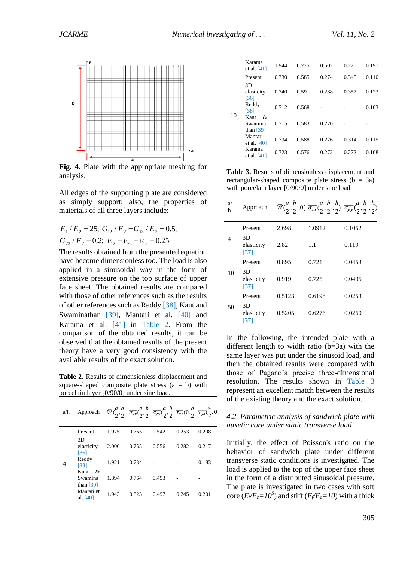

<span id="page-8-0"></span>**Fig. 4.** Plate with the appropriate meshing for analysis.

All edges of the supporting plate are considered as simply support; also, the properties of materials of all three layers include:

$$
E_1/E_2 = 25
$$
;  $G_{12}/E_2 = G_{13}/E_2 = 0.5$ ;  
\n $G_{23}/E_2 = 0.2$ ;  $v_{12} = v_{23} = v_{13} = 0.25$ 

The results obtained from the presented equation have become dimensionless too. The load is also applied in a sinusoidal way in the form of extensive pressure on the top surface of upper face sheet. The obtained results are compared with those of other references such as the results of other references such as Reddy [\[](#page-17-12)[38\]](#page-17-12), Kant and Swaminathan [\[39\]](#page-17-13), Mantari et al. [\[](#page-17-14)[40\]](#page-17-14) and Karama et al. [\[](#page-17-15)[41\]](#page-17-15) in [Table 2.](#page-8-1) From the comparison of the obtained results, it can be observed that the obtained results of the present theory have a very good consistency with the available results of the exact solution.

<span id="page-8-1"></span>**Table 2.** Results of dimensionless displacement and square-shaped composite plate stress  $(a = b)$  with porcelain layer [0/90/0] under sine load.

| a/h | Approach                            |       | $\overline{W}(\frac{a}{2},\frac{b}{2},\frac{\overline{\sigma}_{xx}}{\sigma_{xx}}(\frac{a}{2},\frac{b}{2},\frac{\overline{\sigma}_{yy}}{\sigma_{yy}}(\frac{a}{2},\frac{b}{2},\frac{\overline{\tau}_{xz}}{\tau_{xz}}(0,\frac{b}{2},\frac{\overline{\tau}_{yz}}{\tau_{yz}}(\frac{a}{2},0$ |       |       |       |
|-----|-------------------------------------|-------|----------------------------------------------------------------------------------------------------------------------------------------------------------------------------------------------------------------------------------------------------------------------------------------|-------|-------|-------|
|     | Present                             | 1.975 | 0.765                                                                                                                                                                                                                                                                                  | 0.542 | 0.253 | 0.208 |
| 4   | 3D<br>elasticity<br>[36]            | 2.006 | 0.755                                                                                                                                                                                                                                                                                  | 0.556 | 0.282 | 0.217 |
|     | Reddy<br>[38]                       | 1.921 | 0.734                                                                                                                                                                                                                                                                                  |       |       | 0.183 |
|     | Kant<br>&<br>Swamina<br>than $[39]$ | 1.894 | 0.764                                                                                                                                                                                                                                                                                  | 0.493 |       |       |
|     | Mantari et<br>al. $[40]$            | 1.943 | 0.823                                                                                                                                                                                                                                                                                  | 0.497 | 0.245 | 0.201 |

|    | Karama<br>et al. $[41]$             | 1.944 | 0.775 | 0.502 | 0.220 | 0.191 |
|----|-------------------------------------|-------|-------|-------|-------|-------|
| 10 | Present                             | 0.730 | 0.585 | 0.274 | 0.345 | 0.110 |
|    | 3D<br>elasticity<br>[36]            | 0.740 | 0.59  | 0.288 | 0.357 | 0.123 |
|    | Reddy<br>[38]                       | 0.712 | 0.568 |       |       | 0.103 |
|    | Kant<br>&<br>Swamina<br>than $[39]$ | 0.715 | 0.583 | 0.270 |       |       |
|    | Mantari<br>et al. $[40]$            | 0.734 | 0.588 | 0.276 | 0.314 | 0.115 |
|    | Karama<br>et al. [41]               | 0.723 | 0.576 | 0.272 | 0.272 | 0.108 |

<span id="page-8-2"></span>**Table 3.** Results of dimensionless displacement and rectangular-shaped composite plate stress  $(b = 3a)$ with porcelain layer [0/90/0] under sine load*.*

| a/<br>h | Approach                 |        |        | $\overline{W}(\frac{a}{2},\frac{b}{2},0)$ $\overline{\sigma_{xx}}(\frac{a}{2},\frac{b}{2},\frac{h}{2})$ $\overline{\sigma_{yy}}(\frac{a}{2},\frac{b}{2},\frac{h}{2})$ |
|---------|--------------------------|--------|--------|-----------------------------------------------------------------------------------------------------------------------------------------------------------------------|
|         | Present                  | 2.698  | 1.0912 | 0.1052                                                                                                                                                                |
| 4       | 3D<br>elasticity<br>[37] | 2.82   | 1.1    | 0.119                                                                                                                                                                 |
|         | Present                  | 0.895  | 0.721  | 0.0453                                                                                                                                                                |
| 10      | 3D<br>elasticity<br>[37] | 0.919  | 0.725  | 0.0435                                                                                                                                                                |
|         | Present                  | 0.5123 | 0.6198 | 0.0253                                                                                                                                                                |
| 50      | 3D<br>elasticity<br>[37] | 0.5205 | 0.6276 | 0.0260                                                                                                                                                                |

In the following, the intended plate with a different length to width ratio (b=3a) with the same layer was put under the sinusoid load, and then the obtained results were compared with those of Pagano's precise three-dimensional resolution. The results shown in [Table 3](#page-8-2) represent an excellent match between the results of the existing theory and the exact solution.

### *4.2. Parametric analysis of sandwich plate with auxetic core under static transverse load*

Initially, the effect of Poisson's ratio on the behavior of sandwich plate under different transverse static conditions is investigated. The load is applied to the top of the upper face sheet in the form of a distributed sinusoidal pressure. The plate is investigated in two cases with soft core  $(E/\sqrt{E_c}=10^5)$  and stiff  $(E/\sqrt{E_c}=10)$  with a thick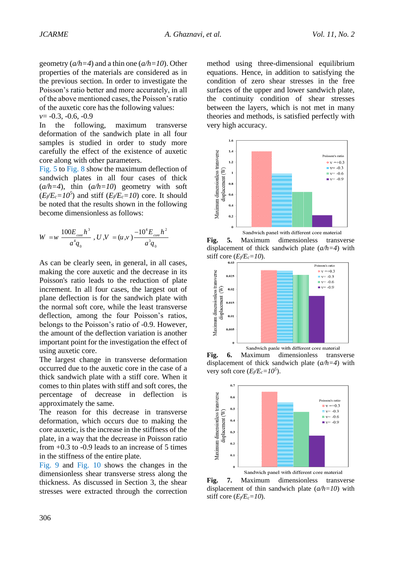geometry (*a/h=4*) and a thin one (*a/h=10*). Other properties of the materials are considered as in the previous section. In order to investigate the Poisson's ratio better and more accurately, in all of the above mentioned cases, the Poisson's ratio of the auxetic core has the following values: *v*= -0.3, -0.6, -0.9

In the following, maximum transverse deformation of the sandwich plate in all four samples is studied in order to study more carefully the effect of the existence of auxetic core along with other parameters.

[Fig. 5](#page-9-0) to [Fig.](#page-10-0) 8 show the maximum deflection of sandwich plates in all four cases of thick  $(a/h=4)$ , thin  $(a/h=10)$  geometry with soft  $(E_f/E_c=10^5)$  and stiff  $(E_f/E_c=10)$  core. It should be noted that the results shown in the following become dimensionless as follows:

$$
W = w \frac{100E_{core}h^3}{a^4q_0}, U, V = (u, v) \frac{-10^4E_{core}h^2}{a^3q_0}
$$

As can be clearly seen, in general, in all cases, making the core auxetic and the decrease in its Poisson's ratio leads to the reduction of plate increment. In all four cases, the largest out of plane deflection is for the sandwich plate with the normal soft core, while the least transverse deflection, among the four Poisson's ratios, belongs to the Poisson's ratio of -0.9. However, the amount of the deflection variation is another important point for the investigation the effect of using auxetic core.

The largest change in transverse deformation occurred due to the auxetic core in the case of a thick sandwich plate with a stiff core. When it comes to thin plates with stiff and soft cores, the percentage of decrease in deflection is approximately the same.

The reason for this decrease in transverse deformation, which occurs due to making the core auxetic, is the increase in the stiffness of the plate, in a way that the decrease in Poisson ratio from  $+0.3$  to  $-0.9$  leads to an increase of 5 times in the stiffness of the entire plate*.*

[Fig. 9](#page-10-1) and [Fig.](#page-10-2) 10 shows the changes in the dimensionless shear transverse stress along the thickness. As discussed in Section 3, the shear stresses were extracted through the correction

method using three-dimensional equilibrium equations. Hence, in addition to satisfying the condition of zero shear stresses in the free surfaces of the upper and lower sandwich plate, the continuity condition of shear stresses between the layers, which is not met in many theories and methods, is satisfied perfectly with very high accuracy.



<span id="page-9-0"></span>**Fig. 5.** Maximum dimensionless transverse displacement of thick sandwich plate (*a/h=4*) with stiff core  $(E$ <sup> $\ell$ *E*<sub>*c*</sub>=10</sub>).</sup>



**Fig. 6.** Maximum dimensionless transverse displacement of thick sandwich plate (*a/h=4*) with very soft core  $(E_f/E_c=10^5)$ .



**Fig. 7.** Maximum dimensionless transverse displacement of thin sandwich plate (*a/h=10*) with stiff core  $(E$ <sup> $\ell$ *E*<sub>*c*</sub>=10</sub>).</sup>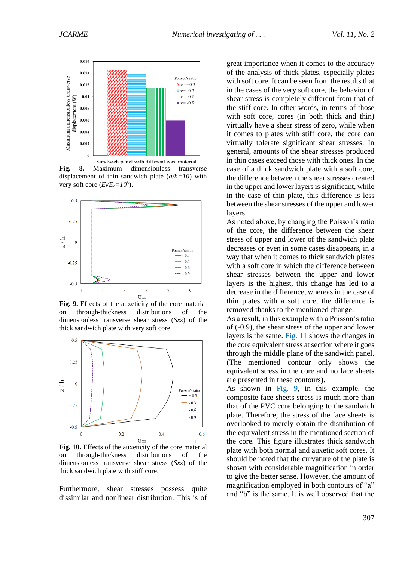

<span id="page-10-0"></span>**Fig. 8.** Maximum dimensionless transverse displacement of thin sandwich plate (*a/h=10*) with very soft core  $(E_f/E_c=10^5)$ .



<span id="page-10-1"></span>**Fig. 9.** Effects of the auxeticity of the core material on through-thickness distributions of the dimensionless transverse shear stress (*Sxz*) of the thick sandwich plate with very soft core.



<span id="page-10-2"></span>**Fig. 10.** Effects of the auxeticity of the core material on through-thickness distributions of the dimensionless transverse shear stress (*Sxz*) of the thick sandwich plate with stiff core.

Furthermore, shear stresses possess quite dissimilar and nonlinear distribution. This is of great importance when it comes to the accuracy of the analysis of thick plates, especially plates with soft core. It can be seen from the results that in the cases of the very soft core, the behavior of shear stress is completely different from that of the stiff core. In other words, in terms of those with soft core, cores (in both thick and thin) virtually have a shear stress of zero, while when it comes to plates with stiff core, the core can virtually tolerate significant shear stresses. In general, amounts of the shear stresses produced in thin cases exceed those with thick ones. In the case of a thick sandwich plate with a soft core, the difference between the shear stresses created in the upper and lower layers is significant, while in the case of thin plate, this difference is less between the shear stresses of the upper and lower layers.

As noted above, by changing the Poisson's ratio of the core, the difference between the shear stress of upper and lower of the sandwich plate decreases or even in some cases disappears, in a way that when it comes to thick sandwich plates with a soft core in which the difference between shear stresses between the upper and lower layers is the highest, this change has led to a decrease in the difference, whereas in the case of thin plates with a soft core, the difference is removed thanks to the mentioned change.

As a result, in this example with a Poisson's ratio of (-0.9), the shear stress of the upper and lower layers is the same. [Fig. 11](#page-11-0) shows the changes in the core equivalent stress at section where it goes through the middle plane of the sandwich panel. (The mentioned contour only shows the equivalent stress in the core and no face sheets are presented in these contours).

As shown in [Fig. 9,](#page-10-1) in this example, the composite face sheets stress is much more than that of the PVC core belonging to the sandwich plate. Therefore, the stress of the face sheets is overlooked to merely obtain the distribution of the equivalent stress in the mentioned section of the core. This figure illustrates thick sandwich plate with both normal and auxetic soft cores. It should be noted that the curvature of the plate is shown with considerable magnification in order to give the better sense. However, the amount of magnification employed in both contours of "a" and "b" is the same. It is well observed that the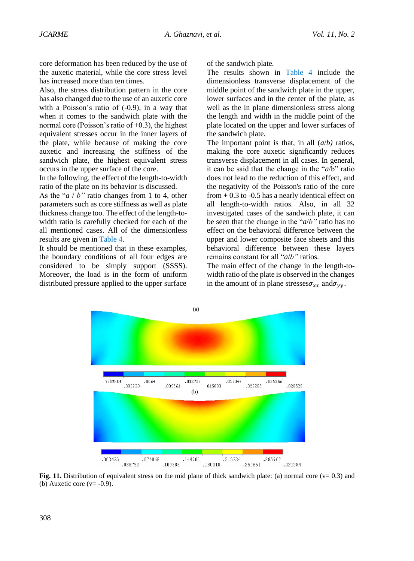core deformation has been reduced by the use of the auxetic material, while the core stress level has increased more than ten times.

Also, the stress distribution pattern in the core has also changed due to the use of an auxetic core with a Poisson's ratio of  $(-0.9)$ , in a way that when it comes to the sandwich plate with the normal core (Poisson's ratio of  $+0.3$ ), the highest equivalent stresses occur in the inner layers of the plate, while because of making the core auxetic and increasing the stiffness of the sandwich plate, the highest equivalent stress occurs in the upper surface of the core.

In the following, the effect of the length-to-width ratio of the plate on its behavior is discussed.

As the "*a* / *b"* ratio changes from 1 to 4, other parameters such as core stiffness as well as plate thickness change too. The effect of the length-towidth ratio is carefully checked for each of the all mentioned cases. All of the dimensionless results are given in [Table 4.](#page-12-0)

[It should](#page-12-0) be mentioned that in these examples, the boundary conditions of all four edges are considered to be simply support (SSSS). Moreover, the load is in the form of uniform distributed pressure applied to the upper surface of the sandwich plat[e.](#page-12-0) 

[The resu](#page-12-0)lts shown in Table 4 include the dimensionless transverse displacement of the middle point of the sandwich plate in the upper, lower surfaces and in the center of the plate, as well as the in plane dimensionless stress along the length and width in the middle point of the plate located on the upper and lower surfaces of the sandwich plate.

The important point is that, in all (*a*/*b)* ratios, making the core auxetic significantly reduces transverse displacement in all cases. In general, it can be said that the change in the "*a*/b" ratio does not lead to the reduction of this effect, and the negativity of the Poisson's ratio of the core from  $+0.3$  to  $-0.5$  has a nearly identical effect on all length-to-width ratios. Also, in all 32 investigated cases of the sandwich plate, it can be seen that the change in the "*a*/*b"* ratio has no effect on the behavioral difference between the upper and lower composite face sheets and this behavioral difference between these layers remains constant for all "*a*/*b"* ratios.

The main effect of the change in the length-towidth ratio of the plate is observed in the changes in the amount of in plane stresses $\overline{\sigma_{xx}}$  and  $\overline{\sigma_{yy}}$ .



<span id="page-11-0"></span>**Fig. 11.** Distribution of equivalent stress on the mid plane of thick sandwich plate: (a) normal core ( $v = 0.3$ ) and (b) Auxetic core ( $v = -0.9$ ).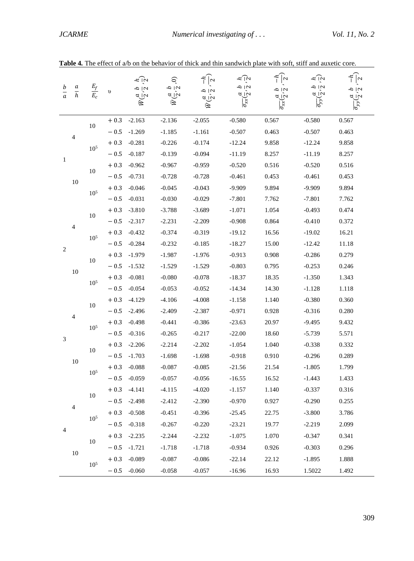<span id="page-12-1"></span><span id="page-12-0"></span>

| $rac{b}{a}$                 | $\frac{a}{h}$  | $\frac{E_f}{E_c}$ | $\upsilon$ | ב מ<br>c' y<br>В | Š<br>$\frac{2}{3}$<br>d in<br>В | $\frac{2}{1}$<br>$\frac{2}{3}$<br>ىرآە<br>它 | 5. U<br>2<br>2<br>d in<br>$\overline{\sigma_{xx}}$ | 2<br>2<br>2<br>$\sim$ $\sim$<br>$\overline{\sigma}_{xx}$ | $\epsilon$   $\alpha$<br>$\frac{2}{3}$<br>d in<br>$\overline{\sigma_{yy}}$ | 2 U<br>$\frac{a}{b}$<br>$\overline{\sigma}_{yy}$ |
|-----------------------------|----------------|-------------------|------------|------------------|---------------------------------|---------------------------------------------|----------------------------------------------------|----------------------------------------------------------|----------------------------------------------------------------------------|--------------------------------------------------|
|                             |                | 10                | $+0.3$     | $-2.163$         | $-2.136$                        | $-2.055$                                    | $-0.580$                                           | 0.567                                                    | $-0.580$                                                                   | 0.567                                            |
|                             | 4              |                   | $-0.5$     | $-1.269$         | $-1.185$                        | $-1.161$                                    | $-0.507$                                           | 0.463                                                    | $-0.507$                                                                   | 0.463                                            |
|                             |                | $10^{5}$          | $+0.3$     | $-0.281$         | $-0.226$                        | $-0.174$                                    | $-12.24$                                           | 9.858                                                    | $-12.24$                                                                   | 9.858                                            |
| 1                           |                |                   | $-0.5$     | $-0.187$         | $-0.139$                        | $-0.094$                                    | $-11.19$                                           | 8.257                                                    | $-11.19$                                                                   | 8.257                                            |
|                             |                | 10                | $+\ 0.3$   | $-0.962$         | $-0.967$                        | $-0.959$                                    | $-0.520$                                           | 0.516                                                    | $-0.520$                                                                   | 0.516                                            |
|                             | $10\,$         |                   | $-0.5$     | $-0.731$         | $-0.728$                        | $-0.728$                                    | $-0.461$                                           | 0.453                                                    | $-0.461$                                                                   | 0.453                                            |
|                             |                | 10 <sup>5</sup>   | $+0.3$     | $-0.046$         | $-0.045$                        | $-0.043$                                    | $-9.909$                                           | 9.894                                                    | $-9.909$                                                                   | 9.894                                            |
|                             |                |                   | $\sim 0.5$ | $-0.031$         | $-0.030$                        | $-0.029$                                    | $-7.801$                                           | 7.762                                                    | $-7.801$                                                                   | 7.762                                            |
|                             |                | $10\,$            | $+0.3$     | $-3.810$         | $-3.788$                        | $-3.689$                                    | $-1.071$                                           | 1.054                                                    | $-0.493$                                                                   | 0.474                                            |
|                             | $\overline{4}$ |                   | $-0.5$     | $-2.317$         | $-2.231$                        | $-2.209$                                    | $-0.908$                                           | 0.864                                                    | $-0.410$                                                                   | 0.372                                            |
|                             |                | 10 <sup>5</sup>   | $+0.3$     | $-0.432$         | $-0.374$                        | $-0.319$                                    | $-19.12$                                           | 16.56                                                    | $-19.02$                                                                   | 16.21                                            |
| $\sqrt{2}$                  |                |                   | $-0.5$     | $-0.284$         | $-0.232$                        | $-0.185$                                    | $-18.27$                                           | 15.00                                                    | $-12.42$                                                                   | 11.18                                            |
|                             |                | 10                | $+0.3$     | $-1.979$         | $-1.987$                        | $-1.976$                                    | $-0.913$                                           | 0.908                                                    | $-0.286$                                                                   | 0.279                                            |
|                             | $10\,$         |                   | $-0.5$     | $-1.532$         | $-1.529$                        | $-1.529$                                    | $-0.803$                                           | 0.795                                                    | $-0.253$                                                                   | 0.246                                            |
|                             |                | $10^5$            | $+0.3$     | $-0.081$         | $-0.080$                        | $-0.078$                                    | $-18.37$                                           | 18.35                                                    | $-1.350$                                                                   | 1.343                                            |
|                             |                |                   | $-0.5$     | $-0.054$         | $-0.053$                        | $-0.052$                                    | $-14.34$                                           | 14.30                                                    | $-1.128$                                                                   | 1.118                                            |
|                             |                | 10                | $+0.3$     | $-4.129$         | $-4.106$                        | $-4.008$                                    | $-1.158$                                           | 1.140                                                    | $-0.380$                                                                   | 0.360                                            |
|                             | 4              |                   | $-0.5$     | $-2.496$         | $-2.409$                        | $-2.387$                                    | $-0.971$                                           | 0.928                                                    | $-0.316$                                                                   | 0.280                                            |
|                             |                | $10^5$            | $+0.3$     | $-0.498$         | $-0.441$                        | $-0.386$                                    | $-23.63$                                           | 20.97                                                    | $-9.495$                                                                   | 9.432                                            |
| $\ensuremath{\mathfrak{Z}}$ |                |                   | $-0.5$     | $-0.316$         | $-0.265$                        | $-0.217$                                    | $-22.00$                                           | 18.60                                                    | $-5.739$                                                                   | 5.571                                            |
|                             |                | 10                | $+0.3$     | $-2.206$         | $-2.214$                        | $-2.202$                                    | $-1.054$                                           | 1.040                                                    | $-0.338$                                                                   | 0.332                                            |
|                             | 10             |                   | $-\,0.5$   | $-1.703$         | $-1.698$                        | $-1.698$                                    | $-0.918$                                           | 0.910                                                    | $-0.296$                                                                   | 0.289                                            |
|                             |                | $10^5$            | $+0.3$     | $-0.088$         | $-0.087$                        | $-0.085$                                    | $-21.56$                                           | 21.54                                                    | $-1.805$                                                                   | 1.799                                            |
|                             |                |                   | $-0.5$     | $-0.059$         | $-0.057$                        | $-0.056$                                    | $-16.55$                                           | 16.52                                                    | $-1.443$                                                                   | 1.433                                            |
|                             |                | $10\,$            | $+0.3$     | $-4.141$         | $-4.115$                        | $-4.020$                                    | $-1.157$                                           | 1.140                                                    | $-0.337$                                                                   | 0.316                                            |
|                             | $\overline{4}$ |                   | $-0.5$     | $-2.498$         | $-2.412$                        | $-2.390$                                    | $-0.970$                                           | 0.927                                                    | $-0.290$                                                                   | 0.255                                            |
|                             |                | 10 <sup>5</sup>   | $+0.3$     | $-0.508$         | $-0.451$                        | $-0.396$                                    | $-25.45$                                           | 22.75                                                    | $-3.800$                                                                   | 3.786                                            |
|                             |                |                   | $-0.5$     | $-0.318$         | $-0.267$                        | $-0.220$                                    | $-23.21$                                           | 19.77                                                    | $-2.219$                                                                   | 2.099                                            |
| 4                           |                |                   | $+0.3$     | $-2.235$         | $-2.244$                        | $-2.232$                                    | $-1.075$                                           | 1.070                                                    | $-0.347$                                                                   | 0.341                                            |
|                             |                | 10                | $-0.5$     | $-1.721$         | $-1.718$                        | $-1.718$                                    | $-0.934$                                           | 0.926                                                    | $-0.303$                                                                   | 0.296                                            |
|                             | $10\,$         |                   | $+0.3$     | $-0.089$         | $-0.087$                        | $-0.086$                                    | $-22.14$                                           | 22.12                                                    | $-1.895$                                                                   | 1.888                                            |
|                             |                | 10 <sup>5</sup>   | $-0.5$     | $-0.060$         | $-0.058$                        | $-0.057$                                    | $-16.96$                                           | 16.93                                                    | 1.5022                                                                     | 1.492                                            |

**Table 4***.* The effect of a/b on the behavior of thick and thin sandwich plate with soft, stiff and auxetic core.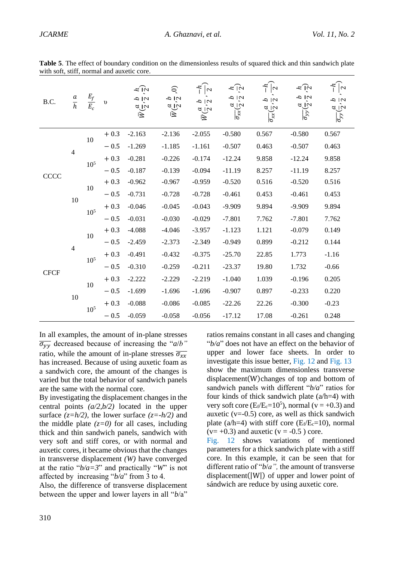**Table 5**. The effect of boundary condition on the dimensionless results of squared thick and thin sandwich plate with soft, stiff, normal and auxetic core.

| B.C.        | $\frac{a}{h}$            | $\frac{E_f}{E_c}$ | $\upsilon$ | $\kappa$ ا که<br>$\frac{a}{2}$<br>$\frac{a}{2}$<br>ミ | S<br>r'<br>q<br>¤ انہ<br>Ñ | $\sim$<br>2   U<br>ان<br>مراج<br>Ñ | $\approx$ 0.1<br>$\frac{5}{3}$<br>$\overline{\sigma_{xx}}(\frac{a}{2})$ | $\sim$<br>N a<br>$\frac{a}{\sigma_{xx}(2)}$ | $\approx$ 101<br>$\frac{5}{9}$<br>$\frac{a}{\sigma_{yy}}(\frac{a}{2})$ | $\sim$<br>$\frac{b}{2}$<br>$\frac{a}{\sigma_{yy}}$ |
|-------------|--------------------------|-------------------|------------|------------------------------------------------------|----------------------------|------------------------------------|-------------------------------------------------------------------------|---------------------------------------------|------------------------------------------------------------------------|----------------------------------------------------|
|             |                          | $10\,$            | $+0.3$     | $-2.163$                                             | $-2.136$                   | $-2.055$                           | $-0.580$                                                                | 0.567                                       | $-0.580$                                                               | 0.567                                              |
|             |                          |                   | $-0.5$     | $-1.269$                                             | $-1.185$                   | $-1.161$                           | $-0.507$                                                                | 0.463                                       | $-0.507$                                                               | 0.463                                              |
|             | $\overline{\mathcal{A}}$ | 10 <sup>5</sup>   | $+0.3$     | $-0.281$                                             | $-0.226$                   | $-0.174$                           | $-12.24$                                                                | 9.858                                       | $-12.24$                                                               | 9.858                                              |
| CCCC        |                          |                   | $-0.5$     | $-0.187$                                             | $-0.139$                   | $-0.094$                           | $-11.19$                                                                | 8.257                                       | $-11.19$                                                               | 8.257                                              |
|             |                          | 10                | $+0.3$     | $-0.962$                                             | $-0.967$                   | $-0.959$                           | $-0.520$                                                                | 0.516                                       | $-0.520$                                                               | 0.516                                              |
|             | 10                       |                   | $-0.5$     | $-0.731$                                             | $-0.728$                   | $-0.728$                           | $-0.461$                                                                | 0.453                                       | $-0.461$                                                               | 0.453                                              |
|             |                          | 10 <sup>5</sup>   | $+0.3$     | $-0.046$                                             | $-0.045$                   | $-0.043$                           | $-9.909$                                                                | 9.894                                       | $-9.909$                                                               | 9.894                                              |
|             |                          |                   | $-0.5$     | $-0.031$                                             | $-0.030$                   | $-0.029$                           | $-7.801$                                                                | 7.762                                       | $-7.801$                                                               | 7.762                                              |
|             |                          | 10                | $+0.3$     | $-4.088$                                             | $-4.046$                   | $-3.957$                           | $-1.123$                                                                | 1.121                                       | $-0.079$                                                               | 0.149                                              |
|             | $\overline{4}$           |                   | $-0.5$     | $-2.459$                                             | $-2.373$                   | $-2.349$                           | $-0.949$                                                                | 0.899                                       | $-0.212$                                                               | 0.144                                              |
|             |                          | 10 <sup>5</sup>   | $+0.3$     | $-0.491$                                             | $-0.432$                   | $-0.375$                           | $-25.70$                                                                | 22.85                                       | 1.773                                                                  | $-1.16$                                            |
|             |                          |                   | $-0.5$     | $-0.310$                                             | $-0.259$                   | $-0.211$                           | $-23.37$                                                                | 19.80                                       | 1.732                                                                  | $-0.66$                                            |
| <b>CFCF</b> |                          | 10                | $+0.3$     | $-2.222$                                             | $-2.229$                   | $-2.219$                           | $-1.040$                                                                | 1.039                                       | $-0.196$                                                               | 0.205                                              |
|             | 10                       |                   | $-0.5$     | $-1.699$                                             | $-1.696$                   | $-1.696$                           | $-0.907$                                                                | 0.897                                       | $-0.233$                                                               | 0.220                                              |
|             |                          | 10 <sup>5</sup>   | $+0.3$     | $-0.088$                                             | $-0.086$                   | $-0.085$                           | $-22.26$                                                                | 22.26                                       | $-0.300$                                                               | $-0.23$                                            |
|             |                          |                   | $-0.5$     | $-0.059$                                             | $-0.058$                   | $-0.056$                           | $-17.12$                                                                | 17.08                                       | $-0.261$                                                               | 0.248                                              |

In all examples, the amount of in-plane stresses  $\overline{\sigma_{yy}}$  decreased because of increasing the "*a*/*b*" ratio, while the amount of in-plane stresses  $\overline{\sigma_{xx}}$ has increased. Because of using auxetic foam as a sandwich core, the amount of the changes is varied but the total behavior of sandwich panels are the same with the normal core.

By investigating the displacement changes in the central points *(a/2,b/2)* located in the upper surface  $(z=h/2)$ , the lower surface  $(z=h/2)$  and the middle plate  $(z=0)$  for all cases, including thick and thin sandwich panels, sandwich with very soft and stiff cores, or with normal and auxetic cores, it became obvious that the changes in transverse displacement *(W)* have converged at the ratio " $b/a=3$ " and practically "*W*" is not affected by increasing "*b/a*" from 3 to 4.

Also, the difference of transverse displacement between the upper and lower layers in all "*b*/a" ratios remains constant in all cases and changing "*b/a*" does not have an effect on the behavior of upper and lower face sheets. In order to investigate this issue better, Fig. 12 and Fig. 13 show the maximum dimensionless transverse displacement(W)changes of top and bottom of sandwich panels with diffe[rent "](#page-14-0)*b/a*" [ratios for](#page-14-1) four kinds of thick sandwich plate (a/h=4) with very soft core  $(E_f/E_c=10^5)$ , normal (v = +0.3) and auxetic  $(v=0.5)$  core, as well as thick sandwich plate (a/h=4) with stiff core ( $E_f/E_c=10$ ), normal  $(v= +0.3)$  and auxetic  $(v = -0.5)$  core.

Fig. 12 shows variations of mentioned parameters for a thick sandwich plate with a stiff core. In this example, it can be seen that for [different r](#page-14-0)atio of "*b*/*a",* the amount of transverse displacement(|W|) of upper and lower point of sándwich are reduce by using auxetic core.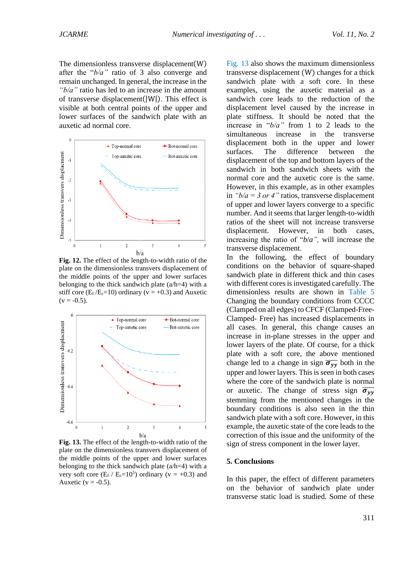The dimensionless transverse displacement(W) after the "*b/a"* ratio of 3 also converge and remain unchanged. In general, the increase in the *"b/a"* ratio has led to an increase in the amount of transverse displacement(|W|). This effect is visible at both central points of the upper and lower surfaces of the sandwich plate with an auxetic ad normal core.



<span id="page-14-0"></span>**Fig. 12.** The effect of the length-to-width ratio of the plate on the dimensionless transvers displacement of the middle points of the upper and lower surfaces belonging to the thick sandwich plate  $(a/h=4)$  with a stiff core ( $E_f/E_c=10$ ) ordinary ( $v = +0.3$ ) and Auxetic  $(v = -0.5)$ .



<span id="page-14-1"></span>**Fig. 13.** The effect of the length-to-width ratio of the plate on the dimensionless transvers displacement of the middle points of the upper and lower surfaces belonging to the thick sandwich plate  $(a/h=4)$  with a very soft core  $(E_f / E_c=10^5)$  ordinary (v = +0.3) and Auxetic ( $v = -0.5$ ).

Fig. 13 also shows the maximum dimensionless [transver](#page-14-1)se displacement (W) changes for a thick sandwich plate with a soft core. In these examples, using the auxetic material as a sandwich core leads to the reduction of the displacement level caused by the increase in plate stiffness. It should be noted that the increase in "*b/a"* from 1 to 2 leads to the simultaneous increase in the transverse displacement both in the upper and lower surfaces. The difference between the displacement of the top and bottom layers of the sandwich in both sandwich sheets with the normal core and the auxetic core is the same. However, in this example, as in other examples in  $\sqrt{b/a} = 3$  or 4" ratios, transverse displacement of upper and lower layers converge to a specific number. And it seems that larger length-to-width ratios of the sheet will not increase transverse displacement. However, in both cases, increasing the ratio of "*b*/*a",* will increase the transverse displacement.

In the following, the effect of boundary conditions on the behavior of square-shaped sandwich plate in different thick and thin cases with different cores is investigated carefully. The dimensionless results are shown in Table 5 Changing the boundary condition[s from CCCC](#page-12-1)  (Clamped on all edges) [to CFCF \(Clamped-Free-](#page-12-1)[Clamped-](#page-12-1) Free) has increased displacements in all cases. In general, this change causes an increase in in-plane stresses in the upper and lower layers of the plate. Of course, for a thick plate with a soft core, the above mentioned change led to a change in sign  $\overline{\sigma_{yy}}$  both in the upper and lower layers. This is seen in both cases where the core of the sandwich plate is normal or auxetic. The change of stress sign  $\overline{\sigma_{yy}}$ stemming from the mentioned changes in the boundary conditions is also seen in the thin sandwich plate with a soft core. However, in this example, the auxetic state of the core leads to the correction of this issue and the uniformity of the sign of stress component in the lower layer.

#### **5. Conclusions**

In this paper, the effect of different parameters on the behavior of sandwich plate under transverse static load is studied. Some of these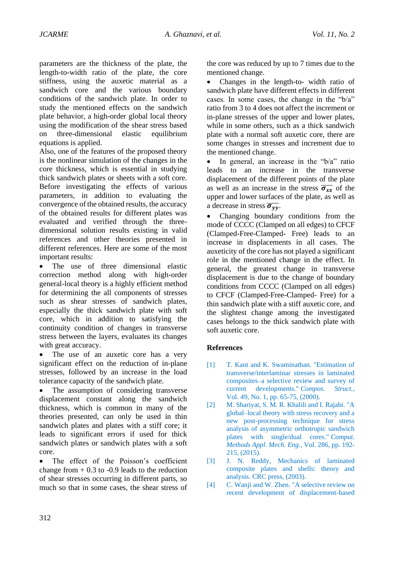parameters are the thickness of the plate, the length-to-width ratio of the plate, the core stiffness, using the auxetic material as a sandwich core and the various boundary conditions of the sandwich plate. In order to study the mentioned effects on the sandwich plate behavior, a high-order global local theory using the modification of the shear stress based on three-dimensional elastic equilibrium equations is applied.

Also, one of the features of the proposed theory is the nonlinear simulation of the changes in the core thickness, which is essential in studying thick sandwich plates or sheets with a soft core. Before investigating the effects of various parameters, in addition to evaluating the convergence of the obtained results, the accuracy of the obtained results for different plates was evaluated and verified through the threedimensional solution results existing in valid references and other theories presented in different references. Here are some of the most important results:

• The use of three dimensional elastic correction method along with high-order general-local theory is a highly efficient method for determining the all components of stresses such as shear stresses of sandwich plates, especially the thick sandwich plate with soft core, which in addition to satisfying the continuity condition of changes in transverse stress between the layers, evaluates its changes with great accuracy.

The use of an auxetic core has a very significant effect on the reduction of in-plane stresses, followed by an increase in the load tolerance capacity of the sandwich plate.

The assumption of considering transverse displacement constant along the sandwich thickness, which is common in many of the theories presented, can only be used in thin sandwich plates and plates with a stiff core; it leads to significant errors if used for thick sandwich plates or sandwich plates with a soft core.

• The effect of the Poisson's coefficient change from  $+ 0.3$  to  $-0.9$  leads to the reduction of shear stresses occurring in different parts, so much so that in some cases, the shear stress of the core was reduced by up to 7 times due to the mentioned change.

• Changes in the length-to- width ratio of sandwich plate have different effects in different cases. In some cases, the change in the "b/a" ratio from 3 to 4 does not affect the increment or in-plane stresses of the upper and lower plates, while in some others, such as a thick sandwich plate with a normal soft auxetic core, there are some changes in stresses and increment due to the mentioned change.

• In general, an increase in the "b/a" ratio leads to an increase in the transverse displacement of the different points of the plate as well as an increase in the stress  $\overline{\sigma_{xx}}$  of the upper and lower surfaces of the plate, as well as a decrease in stress  $\overline{\sigma_{\nu\nu}}$ .

• Changing boundary conditions from the mode of CCCC (Clamped on all edges) to CFCF (Clamped-Free-Clamped- Free) leads to an increase in displacements in all cases. The auxeticity of the core has not played a significant role in the mentioned change in the effect. In general, the greatest change in transverse displacement is due to the change of boundary conditions from CCCC (Clamped on all edges) to CFCF (Clamped-Free-Clamped- Free) for a thin sandwich plate with a stiff auxetic core, and the slightest change among the investigated cases belongs to the thick sandwich plate with soft auxetic core.

## **References**

- <span id="page-15-0"></span>[1] T. Kant and K. Swaminathan. "Estimation of transverse/interlaminar stresses in laminated composites–a selective review and survey of current developments." *Compos. Struct.,*  Vol. 49, No. 1, pp. 65-75, (2000).
- <span id="page-15-1"></span>[2] M. Shariyat, S. M. R. Khalili and I. Rajabi. "A global–local theory with stress recovery and a new post-processing technique for stress analysis of asymmetric orthotropic sandwich plates with single/dual cores." *Comput. Methods Appl. Mech. Eng.,* Vol. 286, pp. 192- 215, (2015).
- [3] J. N. Reddy, Mechanics of laminated composite plates and shells: theory and analysis. CRC press, (2003).
- <span id="page-15-2"></span>[4] C. Wanji and W. Zhen. "A selective review on recent development of displacement-based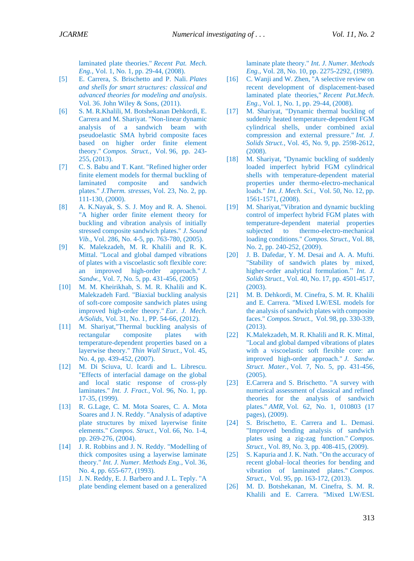laminated plate theories." *Recent Pat. Mech. Eng.*, Vol. 1, No. 1, pp. 29-44, (2008).

- [5] E. Carrera, S. Brischetto and P. Nali. *Plates and shells for smart structures: classical and advanced theories for modeling and analysis*. Vol. 36. John Wiley & Sons, (2011).
- <span id="page-16-0"></span>[6] S. M. R.Khalili, M. Botshekanan Dehkordi, E. Carrera and M. Shariyat. "Non-linear dynamic analysis of a sandwich beam with pseudoelastic SMA hybrid composite faces based on higher order finite element theory." *Compos. Struct.,* Vol. 96, pp. 243- 255, (2013).
- <span id="page-16-1"></span>[7] C. S. Babu and T. Kant. "Refined higher order finite element models for thermal buckling of laminated composite and sandwich plates." *J.Therm. stresses,* Vol. 23, No. 2, pp. 111-130, (2000).
- [8] A. K.Nayak, S. S. J. Moy and R. A. Shenoi. "A higher order finite element theory for buckling and vibration analysis of initially stressed composite sandwich plates." *J. Sound Vib.,* Vol. 286, No. 4-5, pp. 763-780, (2005).
- [9] K. Malekzadeh, M. R. Khalili and R. K. Mittal. "Local and global damped vibrations of plates with a viscoelastic soft flexible core: an improved high-order approach." *J. Sandw.,* Vol. 7, No. 5, pp. 431-456, (2005)
- <span id="page-16-2"></span>[10] M. M. Kheirikhah, S. M. R. Khalili and K. Malekzadeh Fard. "Biaxial buckling analysis of soft-core composite sandwich plates using improved high-order theory." *Eur. J. Mech. A/Solids,* Vol. 31, No. 1, PP. 54-66, (2012).
- <span id="page-16-3"></span>[11] M. Shariyat,"Thermal buckling analysis of rectangular composite plates with temperature-dependent properties based on a layerwise theory." *Thin Wall Struct.,* Vol. 45, No. 4, pp. 439-452, (2007).
- [12] M. Di Sciuva, U. Icardi and L. Librescu. "Effects of interfacial damage on the global and local static response of cross-ply laminates." *Int. J. Fract.,* Vol. 96, No. 1, pp. 17-35, (1999).
- [13] R. G.Lage, C. M. Mota Soares, C. A. Mota Soares and J. N. Reddy. "Analysis of adaptive plate structures by mixed layerwise finite elements." *Compos. Struct.,* Vol. 66, No. 1-4, pp. 269-276, (2004).
- <span id="page-16-4"></span>[14] J. R. Robbins and J. N. Reddy. "Modelling of thick composites using a layerwise laminate theory." *Int. J. Numer. Methods Eng.,* Vol. 36, No. 4, pp. 655-677, (1993).
- [15] J. N. Reddy, E. J. Barbero and J. L. Teply. "A plate bending element based on a generalized

laminate plate theory." *Int. J. Numer. Methods Eng.,* Vol. 28, No. 10, pp. 2275-2292, (1989).

- <span id="page-16-6"></span><span id="page-16-5"></span>[16] C. Wanji and W. Zhen, "A selective review on recent development of displacement-based laminated plate theories," *Recent Pat.Mech. Eng.,* Vol. 1, No. 1, pp. 29-44, (2008).
- <span id="page-16-7"></span>[17] M. Shariyat, "Dynamic thermal buckling of suddenly heated temperature-dependent FGM cylindrical shells, under combined axial compression and external pressure." *Int. J. Solids Struct.,* Vol. 45, No. 9, pp. 2598-2612, (2008).
- [18] M. Shariyat, "Dynamic buckling of suddenly loaded imperfect hybrid FGM cylindrical shells with temperature-dependent material properties under thermo-electro-mechanical loads." *Int. J. Mech. Sci.,* Vol. 50, No. 12, pp. 1561-1571, (2008).
- <span id="page-16-8"></span>[19] M. Shariyat, "Vibration and dynamic buckling control of imperfect hybrid FGM plates with temperature-dependent material properties subjected to thermo-electro-mechanical loading conditions." *Compos. Struct.,* Vol. 88, No. 2, pp. 240-252, (2009).
- <span id="page-16-9"></span>[20] J. B. Dafedar, Y. M. Desai and A. A. Mufti. "Stability of sandwich plates by mixed, higher-order analytical formulation." *Int. J. Solids Struct.,* Vol. 40, No. 17, pp. 4501-4517, (2003).
- <span id="page-16-10"></span>[21] M. B. Dehkordi, M. Cinefra, S. M. R. Khalili and E. Carrera. "Mixed LW/ESL models for the analysis of sandwich plates with composite faces." *Compos. Struct.,* Vol. 98, pp. 330-339, (2013).
- <span id="page-16-11"></span>[22] K.Malekzadeh, M. R. Khalili and R. K. Mittal, "Local and global damped vibrations of plates with a viscoelastic soft flexible core: an improved high-order approach." *J. Sandw. Struct. Mater.,* Vol. 7, No. 5, pp. 431-456, (2005).
- <span id="page-16-12"></span>[23] E.Carrera and S. Brischetto. "A survey with numerical assessment of classical and refined theories for the analysis of sandwich plates." *AMR,* Vol. 62, No. 1, 010803 (17 pages), (2009).
- <span id="page-16-13"></span>[24] S. Brischetto, E. Carrera and L. Demasi. "Improved bending analysis of sandwich plates using a zig-zag function." *Compos. Struct.,* Vol. 89, No. 3, pp. 408-415, (2009).
- <span id="page-16-14"></span>[25] S. Kapuria and J. K. Nath. "On the accuracy of recent global–local theories for bending and vibration of laminated plates." *Compos. Struct.,* Vol. 95, pp. 163-172, (2013).
- [26] M. D. Botshekanan, M. Cinefra, S. M. R. Khalili and E. Carrera. "Mixed LW/ESL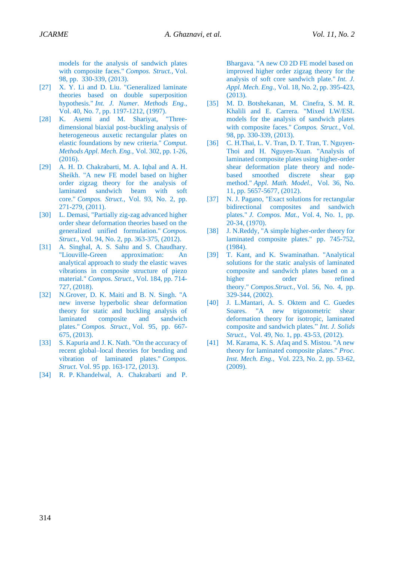<span id="page-17-0"></span>models for the analysis of sandwich plates with composite faces." *Compos. Struct.,* Vol. 98, pp. 330-339, (2013).

- <span id="page-17-1"></span>[27] X. Y. Li and D. Liu. "Generalized laminate theories based on double superposition hypothesis." *Int. J. Numer. Methods Eng.*, Vol. 40, No. 7, pp. 1197-1212, (1997).
- <span id="page-17-2"></span>[28] K. Asemi and M. Shariyat, "Threedimensional biaxial post-buckling analysis of heterogeneous auxetic rectangular plates on elastic foundations by new criteria." *Comput. Methods Appl. Mech. Eng.,* Vol. 302, pp. 1-26, (2016).
- <span id="page-17-3"></span>[29] A. H. D. Chakrabarti, M. A. Iqbal and A. H. Sheikh. "A new FE model based on higher order zigzag theory for the analysis of laminated sandwich beam with soft core." *Compos. Struct.*, Vol. 93, No. 2, pp. 271-279, (2011).
- <span id="page-17-4"></span>[30] L. Demasi, "Partially zig-zag advanced higher order shear deformation theories based on the generalized unified formulation." *Compos. Struct.,* Vol. 94, No. 2, pp. 363-375, (2012).
- <span id="page-17-5"></span>[31] A. Singhal, A. S. Sahu and S. Chaudhary. "Liouville-Green approximation: An analytical approach to study the elastic waves vibrations in composite structure of piezo material." *Compos. Struct.,* Vol. 184, pp. 714- 727, (2018).
- <span id="page-17-6"></span>[32] N.Grover, D. K. Maiti and B. N. Singh. "A new inverse hyperbolic shear deformation theory for static and buckling analysis of laminated composite and sandwich plates." *Compos. Struct.,* Vol. 95, pp. 667- 675, (2013).
- <span id="page-17-7"></span>[33] S. Kapuria and J. K. Nath. "On the accuracy of recent global–local theories for bending and vibration of laminated plates." *Compos. Struct.* Vol. 95 pp. 163-172, (2013).
- <span id="page-17-8"></span>[34] R. P. Khandelwal, A. Chakrabarti and P.

Bhargava. "A new C0 2D FE model based on improved higher order zigzag theory for the analysis of soft core sandwich plate." *Int. J. Appl. Mech. Eng.,* Vol. 18, No. 2, pp. 395-423, (2013).

- [35] M. D. Botshekanan, M. Cinefra, S. M. R. Khalili and E. Carrera. "Mixed LW/ESL models for the analysis of sandwich plates with composite faces." *Compos. Struct.,* Vol. 98, pp. 330-339, (2013).
- <span id="page-17-10"></span><span id="page-17-9"></span>[36] C. H.Thai, L. V. Tran, D. T. Tran, T. Nguyen-Thoi and H. Nguyen-Xuan. "Analysis of laminated composite plates using higher-order shear deformation plate theory and nodebased smoothed discrete shear gap method." *Appl. Math. Model.,* Vol. 36, No. 11, pp. 5657-5677, (2012).
- [37] N. J. Pagano, "Exact solutions for rectangular bidirectional composites and sandwich plates." *J. Compos. Mat.*, Vol. 4, No. 1, pp. 20-34, (1970).
- <span id="page-17-11"></span>[38] J. N.Reddy, "A simple higher-order theory for laminated composite plates." pp. 745-752, (1984).
- <span id="page-17-13"></span><span id="page-17-12"></span>[39] T. Kant, and K. Swaminathan. "Analytical solutions for the static analysis of laminated composite and sandwich plates based on a higher order refined theory." *Compos.Struct.,* Vol. 56, No. 4, pp. 329-344, (2002).
- [40] J. L.Mantari, A. S. Oktem and C. Guedes Soares. "A new trigonometric shear deformation theory for isotropic, laminated composite and sandwich plates." *Int. J. Solids Struct.,* Vol. 49, No. 1, pp. 43-53, (2012).
- <span id="page-17-15"></span><span id="page-17-14"></span>[41] M. Karama, K. S. Afaq and S. Mistou. "A new theory for laminated composite plates." *Proc. Inst. Mech. Eng.,* Vol. 223, No. 2, pp. 53-62, (2009).